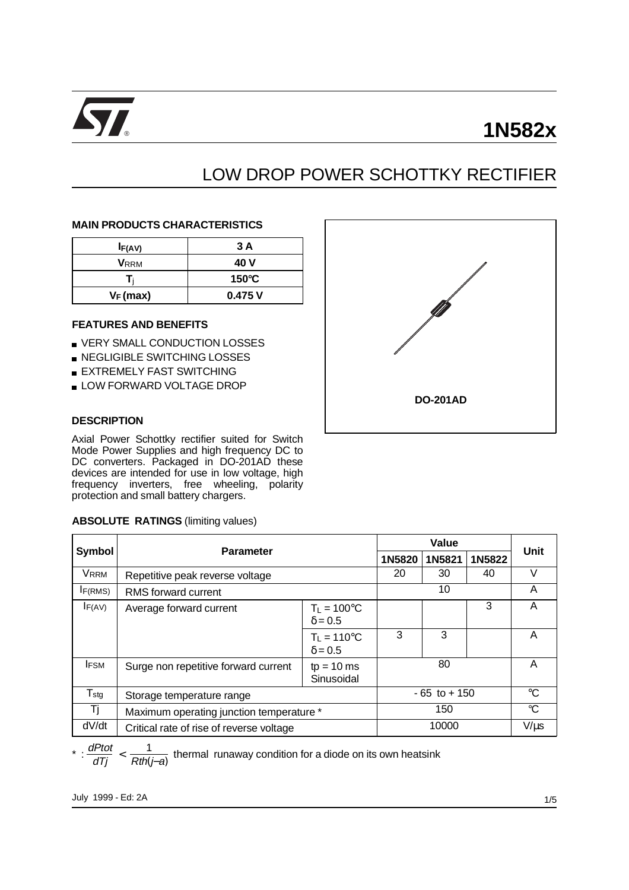

# **1N582x**

# LOW DROP POWER SCHOTTKY RECTIFIER

#### **MAIN PRODUCTS CHARACTERISTICS**

| I <sub>F</sub> (AV) | 3 A             |
|---------------------|-----------------|
| <b>V</b> RRM        | 40 V            |
|                     | $150^{\circ}$ C |
| $V_F(max)$          | 0.475V          |

### **FEATURES AND BENEFITS**

- **VERY SMALL CONDUCTION LOSSES**
- **NEGLIGIBLE SWITCHING LOSSES**
- **EXTREMELY FAST SWITCHING**
- **LOW FORWARD VOLTAGE DROP**

#### **DESCRIPTION**

Axial Power Schottky rectifier suited for Switch Mode Power Supplies and high frequency DC to DC converters. Packaged in DO-201AD these devices are intended for use in low voltage, high frequency inverters, free wheeling, polarity protection and small battery chargers.

|                     | protection and small battery chargers.    |                                        |        |        |                 |   |
|---------------------|-------------------------------------------|----------------------------------------|--------|--------|-----------------|---|
|                     | <b>ABSOLUTE RATINGS (limiting values)</b> |                                        |        |        |                 |   |
|                     |                                           |                                        |        |        |                 |   |
| <b>Symbol</b>       | <b>Parameter</b>                          | 1N5820                                 | 1N5821 | 1N5822 | <b>Unit</b>     |   |
| <b>VRRM</b>         | Repetitive peak reverse voltage           | 20                                     | 30     | 40     | V               |   |
| I <sub>F(RMS)</sub> | RMS forward current                       | 10                                     |        |        | A               |   |
| $I_{F(AV)}$         | Average forward current                   | $T_L = 100^{\circ}C$<br>$\delta = 0.5$ |        |        | 3               | A |
|                     |                                           | $T_L = 110^{\circ}C$<br>$\delta = 0.5$ | 3      | 3      |                 | A |
| <b>IFSM</b>         | Surge non repetitive forward current      | 80                                     |        |        | A               |   |
| $T_{\text{stg}}$    | Storage temperature range                 | $-65$ to $+150$                        |        |        | $\rm ^{\circ}C$ |   |
| Τj                  | Maximum operating junction temperature *  | 150                                    |        |        | °C              |   |
| dV/dt               | Critical rate of rise of reverse voltage  | 10000                                  |        |        | $V/\mu s$       |   |

\* :  $\frac{dPtot}{dTj} < \frac{1}{Rth(j-a)}$  thermal runaway condition for a diode on its own heatsink

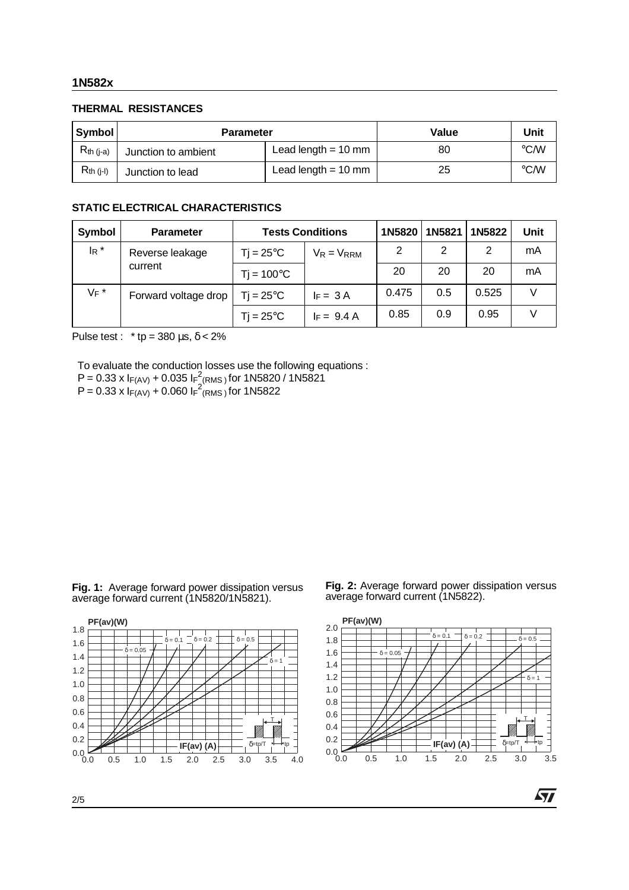#### **1N582x**

## **THERMAL RESISTANCES**

| Symbol         | <b>Parameter</b>    | Value                 | Unit |                    |
|----------------|---------------------|-----------------------|------|--------------------|
| $R_{th (i-a)}$ | Junction to ambient | Lead length $= 10$ mm | 80   | $\rm ^{\circ}$ C/W |
| $R_{th}$ (j-l) | Junction to lead    | Lead length $= 10$ mm | 25   | $\rm ^{\circ}$ C/W |

### **STATIC ELECTRICAL CHARACTERISTICS**

| Symbol  | <b>Parameter</b>     | <b>Tests Conditions</b> | 1N5820 1N5821   |       | 1N5822 | Unit  |    |
|---------|----------------------|-------------------------|-----------------|-------|--------|-------|----|
| $I_R$ * | Reverse leakage      | $Ti = 25^{\circ}C$      | $V_R = V_{RRM}$ | 2     | 2      | 2     | mA |
|         | current              | $Tj = 100^{\circ}C$     |                 | 20    | 20     | 20    | mA |
| $V_F$ * | Forward voltage drop | $Ti = 25^{\circ}C$      | $IF = 3A$       | 0.475 | 0.5    | 0.525 |    |
|         |                      | $Ti = 25^{\circ}C$      | $I_F = 9.4 A$   | 0.85  | 0.9    | 0.95  |    |

Pulse test : \* tp =  $380 \,\mu s$ ,  $\delta$  <  $2\%$ 

To evaluate the conduction losses use the following equations :

- $P = 0.33 \times I_{F(AV)} + 0.035 I_{F}^{2}$ (RMS) for 1N5820 / 1N5821
- $P = 0.33 \times I_{F(AV)} + 0.060 I_{F}^{2}$ (RMS) for 1N5822





Fig. 2: Average forward power dissipation versus average forward current (1N5822).



57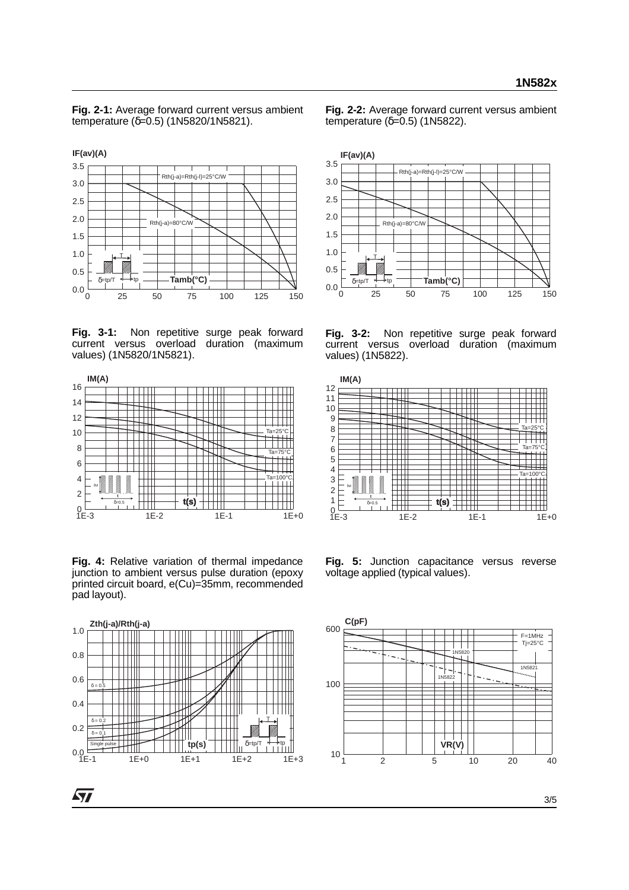**Fig. 2-1:** Average forward current versus ambient temperature (δ=0.5) (1N5820/1N5821).



Fig. 3-1: Non repetitive surge peak forward current versus overload duration (maximum values) (1N5820/1N5821).



**Fig. 4:** Relative variation of thermal impedance junction to ambient versus pulse duration (epoxy printed circuit board, e(Cu)=35mm, recommended pad layout).



 $\bm{\varpi}$ 

**Fig. 2-2:** Average forward current versus ambient temperature  $(δ=0.5)$  (1N5822).



**Fig. 3-2:** Non repetitive surge peak forward current versus overload duration (maximum values) (1N5822).



**Fig. 5:** Junction capacitance versus reverse voltage applied (typical values).

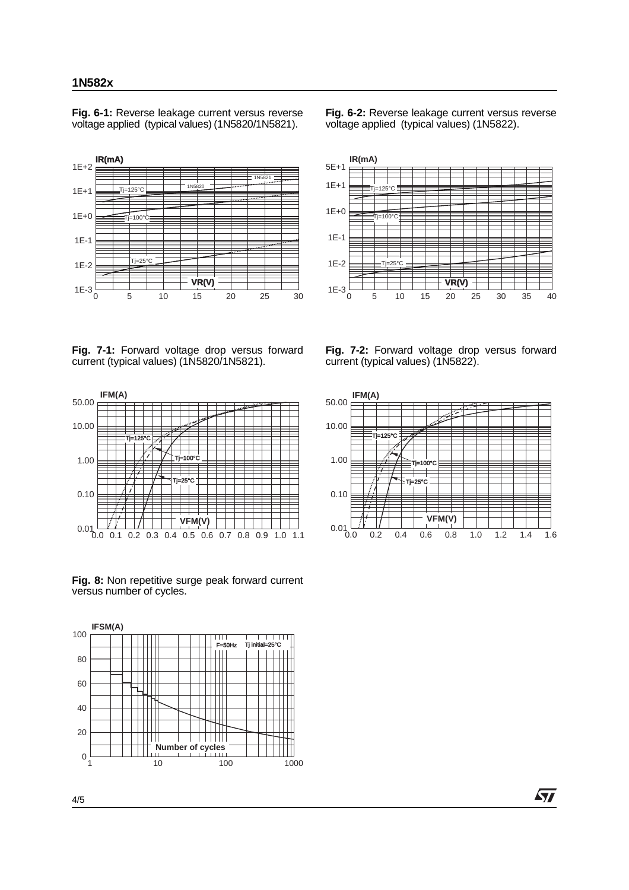#### **1N582x**

**Fig. 6-1:** Reverse leakage current versus reverse voltage applied (typical values) (1N5820/1N5821).



**Fig. 6-2:** Reverse leakage current versus reverse voltage applied (typical values) (1N5822).



**Fig. 7-1:** Forward voltage drop versus forward current (typical values) (1N5820/1N5821).



Fig. 8: Non repetitive surge peak forward current versus number of cycles.



**Fig. 7-2:** Forward voltage drop versus forward current (typical values) (1N5822).



*st*